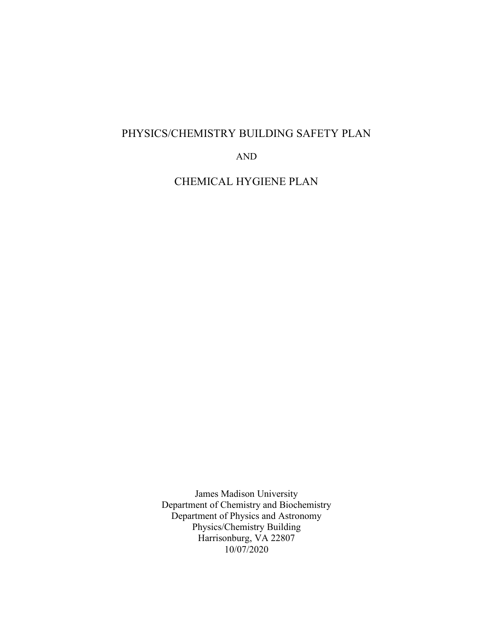# PHYSICS/CHEMISTRY BUILDING SAFETY PLAN

AND

CHEMICAL HYGIENE PLAN

James Madison University Department of Chemistry and Biochemistry Department of Physics and Astronomy Physics/Chemistry Building Harrisonburg, VA 22807 10/07/2020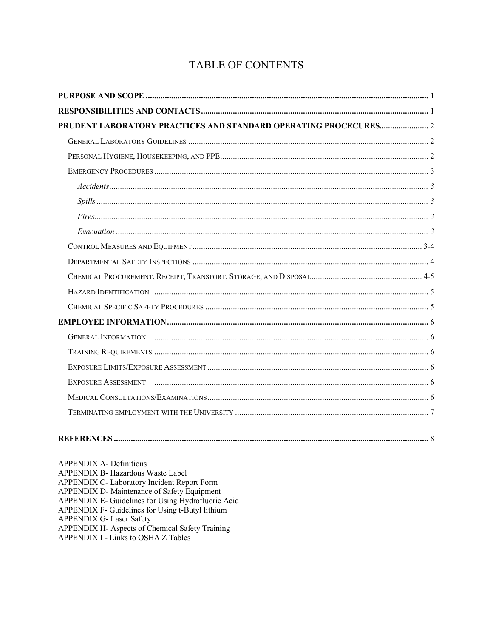# TABLE OF CONTENTS

| PRUDENT LABORATORY PRACTICES AND STANDARD OPERATING PROCECURES 2                                                                                                                                                                                                            |  |
|-----------------------------------------------------------------------------------------------------------------------------------------------------------------------------------------------------------------------------------------------------------------------------|--|
|                                                                                                                                                                                                                                                                             |  |
|                                                                                                                                                                                                                                                                             |  |
|                                                                                                                                                                                                                                                                             |  |
|                                                                                                                                                                                                                                                                             |  |
|                                                                                                                                                                                                                                                                             |  |
|                                                                                                                                                                                                                                                                             |  |
|                                                                                                                                                                                                                                                                             |  |
|                                                                                                                                                                                                                                                                             |  |
|                                                                                                                                                                                                                                                                             |  |
|                                                                                                                                                                                                                                                                             |  |
|                                                                                                                                                                                                                                                                             |  |
|                                                                                                                                                                                                                                                                             |  |
|                                                                                                                                                                                                                                                                             |  |
|                                                                                                                                                                                                                                                                             |  |
|                                                                                                                                                                                                                                                                             |  |
|                                                                                                                                                                                                                                                                             |  |
|                                                                                                                                                                                                                                                                             |  |
|                                                                                                                                                                                                                                                                             |  |
|                                                                                                                                                                                                                                                                             |  |
|                                                                                                                                                                                                                                                                             |  |
| <b>APPENDIX A- Definitions</b><br>APPENDIX B- Hazardous Waste Label<br>APPENDIX C- Laboratory Incident Report Form<br>APPENDIX D- Maintenance of Safety Equipment<br>APPENDIX E- Guidelines for Using Hydrofluoric Acid<br>APPENDIX F- Guidelines for Using t-Butyl lithium |  |

APPENDIX G- Laser Safety<br>APPENDIX H- Aspects of Chemical Safety Training<br>APPENDIX I - Links to OSHA Z Tables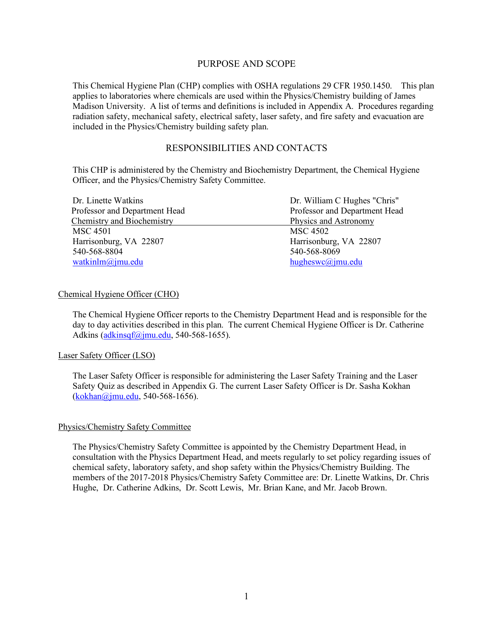## PURPOSE AND SCOPE

This Chemical Hygiene Plan (CHP) complies with OSHA regulations 29 CFR 1950.1450. This plan applies to laboratories where chemicals are used within the Physics/Chemistry building of James Madison University. A list of terms and definitions is included in Appendix A. Procedures regarding radiation safety, mechanical safety, electrical safety, laser safety, and fire safety and evacuation are included in the Physics/Chemistry building safety plan.

## RESPONSIBILITIES AND CONTACTS

This CHP is administered by the Chemistry and Biochemistry Department, the Chemical Hygiene Officer, and the Physics/Chemistry Safety Committee.

| Dr. Linette Watkins           | Dr. William C Hughes "Chris"  |  |  |
|-------------------------------|-------------------------------|--|--|
| Professor and Department Head | Professor and Department Head |  |  |
| Chemistry and Biochemistry    | Physics and Astronomy         |  |  |
| <b>MSC 4501</b>               | MSC 4502                      |  |  |
| Harrisonburg, VA 22807        | Harrisonburg, VA 22807        |  |  |
| 540-568-8804                  | 540-568-8069                  |  |  |
| watkinlm@jmu.edu              | hugheswc@jmu.edu              |  |  |

### Chemical Hygiene Officer (CHO)

The Chemical Hygiene Officer reports to the Chemistry Department Head and is responsible for the day to day activities described in this plan. The current Chemical Hygiene Officer is Dr. Catherine Adkins (adkinsqf@jmu.edu, 540-568-1655).

### Laser Safety Officer (LSO)

The Laser Safety Officer is responsible for administering the Laser Safety Training and the Laser Safety Quiz as described in Appendix G. The current Laser Safety Officer is Dr. Sasha Kokhan (kokhan@jmu.edu, 540-568-1656).

### Physics/Chemistry Safety Committee

The Physics/Chemistry Safety Committee is appointed by the Chemistry Department Head, in consultation with the Physics Department Head, and meets regularly to set policy regarding issues of chemical safety, laboratory safety, and shop safety within the Physics/Chemistry Building. The members of the 2017-2018 Physics/Chemistry Safety Committee are: Dr. Linette Watkins, Dr. Chris Hughe, Dr. Catherine Adkins, Dr. Scott Lewis, Mr. Brian Kane, and Mr. Jacob Brown.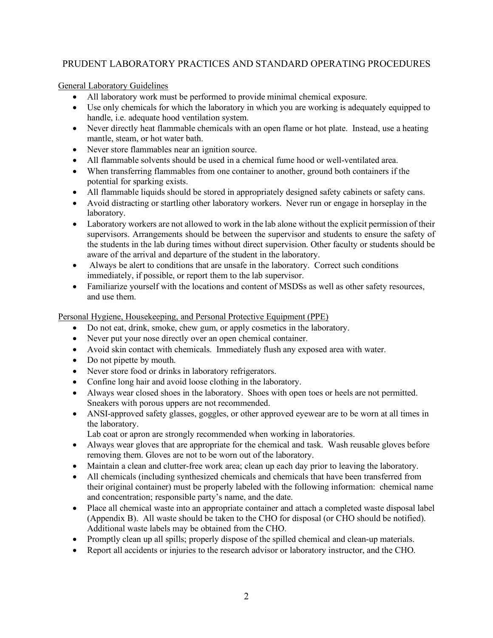# PRUDENT LABORATORY PRACTICES AND STANDARD OPERATING PROCEDURES

General Laboratory Guidelines

- All laboratory work must be performed to provide minimal chemical exposure.
- Use only chemicals for which the laboratory in which you are working is adequately equipped to handle, i.e. adequate hood ventilation system.
- Never directly heat flammable chemicals with an open flame or hot plate. Instead, use a heating mantle, steam, or hot water bath.
- Never store flammables near an ignition source.
- All flammable solvents should be used in a chemical fume hood or well-ventilated area.
- When transferring flammables from one container to another, ground both containers if the potential for sparking exists.
- All flammable liquids should be stored in appropriately designed safety cabinets or safety cans.
- Avoid distracting or startling other laboratory workers. Never run or engage in horseplay in the laboratory.
- Laboratory workers are not allowed to work in the lab alone without the explicit permission of their supervisors. Arrangements should be between the supervisor and students to ensure the safety of the students in the lab during times without direct supervision. Other faculty or students should be aware of the arrival and departure of the student in the laboratory.
- Always be alert to conditions that are unsafe in the laboratory. Correct such conditions immediately, if possible, or report them to the lab supervisor.
- Familiarize yourself with the locations and content of MSDSs as well as other safety resources, and use them.

Personal Hygiene, Housekeeping, and Personal Protective Equipment (PPE)

- Do not eat, drink, smoke, chew gum, or apply cosmetics in the laboratory.
- Never put your nose directly over an open chemical container.
- Avoid skin contact with chemicals. Immediately flush any exposed area with water.
- Do not pipette by mouth.
- Never store food or drinks in laboratory refrigerators.
- Confine long hair and avoid loose clothing in the laboratory.
- Always wear closed shoes in the laboratory. Shoes with open toes or heels are not permitted. Sneakers with porous uppers are not recommended.
- ANSI-approved safety glasses, goggles, or other approved eyewear are to be worn at all times in the laboratory.

Lab coat or apron are strongly recommended when working in laboratories.

- Always wear gloves that are appropriate for the chemical and task. Wash reusable gloves before removing them. Gloves are not to be worn out of the laboratory.
- Maintain a clean and clutter-free work area; clean up each day prior to leaving the laboratory.
- All chemicals (including synthesized chemicals and chemicals that have been transferred from their original container) must be properly labeled with the following information: chemical name and concentration; responsible party's name, and the date.
- Place all chemical waste into an appropriate container and attach a completed waste disposal label (Appendix B). All waste should be taken to the CHO for disposal (or CHO should be notified). Additional waste labels may be obtained from the CHO.
- Promptly clean up all spills; properly dispose of the spilled chemical and clean-up materials.
- Report all accidents or injuries to the research advisor or laboratory instructor, and the CHO.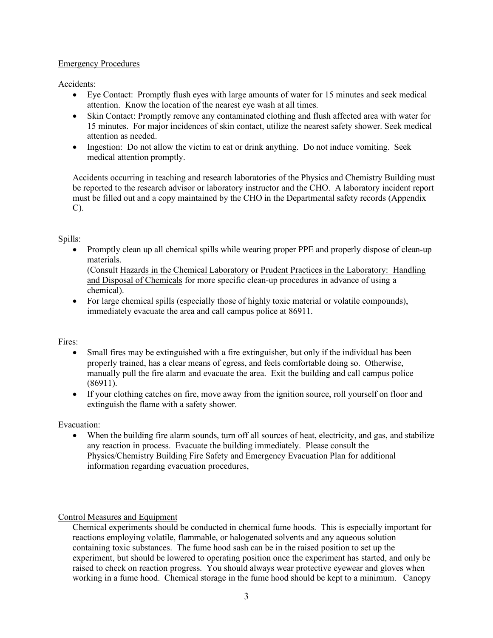## Emergency Procedures

Accidents:

- Eye Contact: Promptly flush eyes with large amounts of water for 15 minutes and seek medical attention. Know the location of the nearest eye wash at all times.
- Skin Contact: Promptly remove any contaminated clothing and flush affected area with water for 15 minutes. For major incidences of skin contact, utilize the nearest safety shower. Seek medical attention as needed.
- Ingestion: Do not allow the victim to eat or drink anything. Do not induce vomiting. Seek medical attention promptly.

Accidents occurring in teaching and research laboratories of the Physics and Chemistry Building must be reported to the research advisor or laboratory instructor and the CHO. A laboratory incident report must be filled out and a copy maintained by the CHO in the Departmental safety records (Appendix C).

Spills:

• Promptly clean up all chemical spills while wearing proper PPE and properly dispose of clean-up materials.

(Consult Hazards in the Chemical Laboratory or Prudent Practices in the Laboratory: Handling and Disposal of Chemicals for more specific clean-up procedures in advance of using a chemical).

• For large chemical spills (especially those of highly toxic material or volatile compounds), immediately evacuate the area and call campus police at 86911.

Fires:

- Small fires may be extinguished with a fire extinguisher, but only if the individual has been properly trained, has a clear means of egress, and feels comfortable doing so. Otherwise, manually pull the fire alarm and evacuate the area. Exit the building and call campus police (86911).
- If your clothing catches on fire, move away from the ignition source, roll yourself on floor and extinguish the flame with a safety shower.

Evacuation:

• When the building fire alarm sounds, turn off all sources of heat, electricity, and gas, and stabilize any reaction in process. Evacuate the building immediately. Please consult the Physics/Chemistry Building Fire Safety and Emergency Evacuation Plan for additional information regarding evacuation procedures,

Control Measures and Equipment

Chemical experiments should be conducted in chemical fume hoods. This is especially important for reactions employing volatile, flammable, or halogenated solvents and any aqueous solution containing toxic substances. The fume hood sash can be in the raised position to set up the experiment, but should be lowered to operating position once the experiment has started, and only be raised to check on reaction progress. You should always wear protective eyewear and gloves when working in a fume hood. Chemical storage in the fume hood should be kept to a minimum. Canopy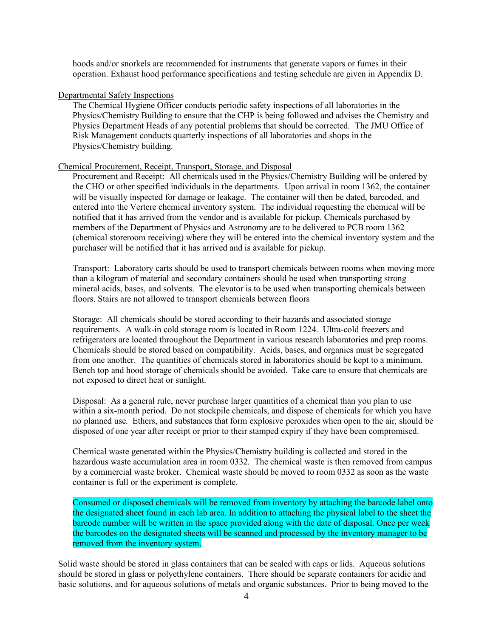hoods and/or snorkels are recommended for instruments that generate vapors or fumes in their operation. Exhaust hood performance specifications and testing schedule are given in Appendix D.

### Departmental Safety Inspections

The Chemical Hygiene Officer conducts periodic safety inspections of all laboratories in the Physics/Chemistry Building to ensure that the CHP is being followed and advises the Chemistry and Physics Department Heads of any potential problems that should be corrected. The JMU Office of Risk Management conducts quarterly inspections of all laboratories and shops in the Physics/Chemistry building.

### Chemical Procurement, Receipt, Transport, Storage, and Disposal

Procurement and Receipt: All chemicals used in the Physics/Chemistry Building will be ordered by the CHO or other specified individuals in the departments. Upon arrival in room 1362, the container will be visually inspected for damage or leakage. The container will then be dated, barcoded, and entered into the Vertere chemical inventory system. The individual requesting the chemical will be notified that it has arrived from the vendor and is available for pickup. Chemicals purchased by members of the Department of Physics and Astronomy are to be delivered to PCB room 1362 (chemical storeroom receiving) where they will be entered into the chemical inventory system and the purchaser will be notified that it has arrived and is available for pickup.

Transport: Laboratory carts should be used to transport chemicals between rooms when moving more than a kilogram of material and secondary containers should be used when transporting strong mineral acids, bases, and solvents. The elevator is to be used when transporting chemicals between floors. Stairs are not allowed to transport chemicals between floors

Storage: All chemicals should be stored according to their hazards and associated storage requirements. A walk-in cold storage room is located in Room 1224. Ultra-cold freezers and refrigerators are located throughout the Department in various research laboratories and prep rooms. Chemicals should be stored based on compatibility. Acids, bases, and organics must be segregated from one another. The quantities of chemicals stored in laboratories should be kept to a minimum. Bench top and hood storage of chemicals should be avoided. Take care to ensure that chemicals are not exposed to direct heat or sunlight.

Disposal: As a general rule, never purchase larger quantities of a chemical than you plan to use within a six-month period. Do not stockpile chemicals, and dispose of chemicals for which you have no planned use. Ethers, and substances that form explosive peroxides when open to the air, should be disposed of one year after receipt or prior to their stamped expiry if they have been compromised.

Chemical waste generated within the Physics/Chemistry building is collected and stored in the hazardous waste accumulation area in room 0332. The chemical waste is then removed from campus by a commercial waste broker. Chemical waste should be moved to room 0332 as soon as the waste container is full or the experiment is complete.

Consumed or disposed chemicals will be removed from inventory by attaching the barcode label onto the designated sheet found in each lab area. In addition to attaching the physical label to the sheet the barcode number will be written in the space provided along with the date of disposal. Once per week the barcodes on the designated sheets will be scanned and processed by the inventory manager to be removed from the inventory system.

Solid waste should be stored in glass containers that can be sealed with caps or lids. Aqueous solutions should be stored in glass or polyethylene containers. There should be separate containers for acidic and basic solutions, and for aqueous solutions of metals and organic substances. Prior to being moved to the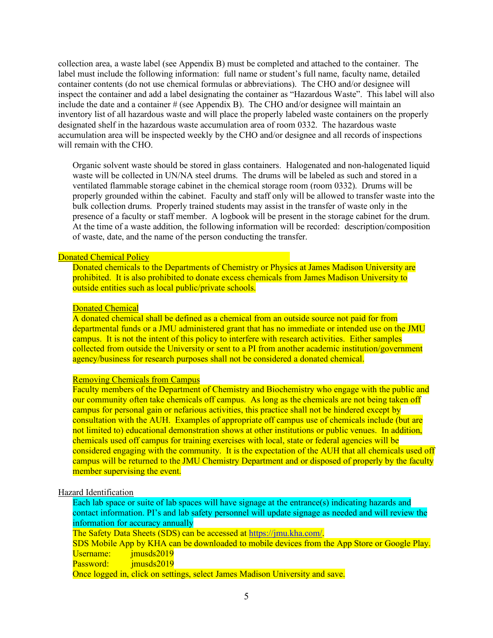collection area, a waste label (see Appendix B) must be completed and attached to the container. The label must include the following information: full name or student's full name, faculty name, detailed container contents (do not use chemical formulas or abbreviations). The CHO and/or designee will inspect the container and add a label designating the container as "Hazardous Waste". This label will also include the date and a container  $\#$  (see Appendix B). The CHO and/or designee will maintain an inventory list of all hazardous waste and will place the properly labeled waste containers on the properly designated shelf in the hazardous waste accumulation area of room 0332. The hazardous waste accumulation area will be inspected weekly by the CHO and/or designee and all records of inspections will remain with the CHO.

Organic solvent waste should be stored in glass containers. Halogenated and non-halogenated liquid waste will be collected in UN/NA steel drums. The drums will be labeled as such and stored in a ventilated flammable storage cabinet in the chemical storage room (room 0332). Drums will be properly grounded within the cabinet. Faculty and staff only will be allowed to transfer waste into the bulk collection drums. Properly trained students may assist in the transfer of waste only in the presence of a faculty or staff member. A logbook will be present in the storage cabinet for the drum. At the time of a waste addition, the following information will be recorded: description/composition of waste, date, and the name of the person conducting the transfer.

### Donated Chemical Policy

Donated chemicals to the Departments of Chemistry or Physics at James Madison University are prohibited. It is also prohibited to donate excess chemicals from James Madison University to outside entities such as local public/private schools.

#### Donated Chemical

A donated chemical shall be defined as a chemical from an outside source not paid for from departmental funds or a JMU administered grant that has no immediate or intended use on the JMU campus. It is not the intent of this policy to interfere with research activities. Either samples collected from outside the University or sent to a PI from another academic institution/government agency/business for research purposes shall not be considered a donated chemical.

#### Removing Chemicals from Campus

Faculty members of the Department of Chemistry and Biochemistry who engage with the public and our community often take chemicals off campus. As long as the chemicals are not being taken off campus for personal gain or nefarious activities, this practice shall not be hindered except by consultation with the AUH. Examples of appropriate off campus use of chemicals include (but are not limited to) educational demonstration shows at other institutions or public venues. In addition, chemicals used off campus for training exercises with local, state or federal agencies will be considered engaging with the community. It is the expectation of the AUH that all chemicals used off campus will be returned to the JMU Chemistry Department and or disposed of properly by the faculty member supervising the event.

### Hazard Identification

Each lab space or suite of lab spaces will have signage at the entrance(s) indicating hazards and contact information. PI's and lab safety personnel will update signage as needed and will review the information for accuracy annually The Safety Data Sheets (SDS) can be accessed at https://jmu.kha.com/. SDS Mobile App by KHA can be downloaded to mobile devices from the App Store or Google Play. Username: imusds2019 Password: imusds2019 Once logged in, click on settings, select James Madison University and save.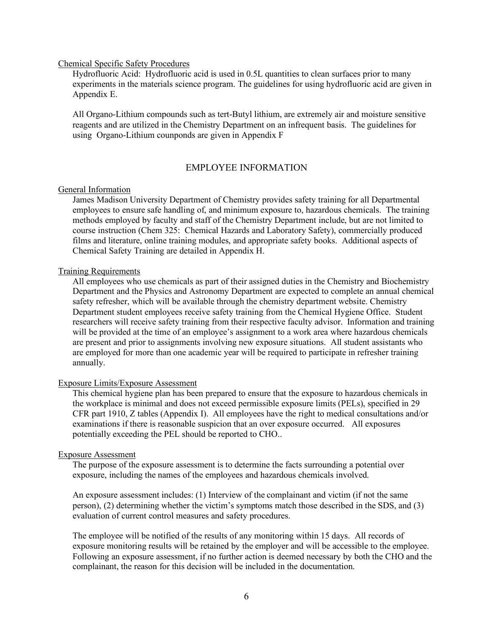### Chemical Specific Safety Procedures

Hydrofluoric Acid: Hydrofluoric acid is used in 0.5L quantities to clean surfaces prior to many experiments in the materials science program. The guidelines for using hydrofluoric acid are given in Appendix E.

All Organo-Lithium compounds such as tert-Butyl lithium, are extremely air and moisture sensitive reagents and are utilized in the Chemistry Department on an infrequent basis. The guidelines for using Organo-Lithium counponds are given in Appendix F

### EMPLOYEE INFORMATION

### General Information

James Madison University Department of Chemistry provides safety training for all Departmental employees to ensure safe handling of, and minimum exposure to, hazardous chemicals. The training methods employed by faculty and staff of the Chemistry Department include, but are not limited to course instruction (Chem 325: Chemical Hazards and Laboratory Safety), commercially produced films and literature, online training modules, and appropriate safety books. Additional aspects of Chemical Safety Training are detailed in Appendix H.

### Training Requirements

All employees who use chemicals as part of their assigned duties in the Chemistry and Biochemistry Department and the Physics and Astronomy Department are expected to complete an annual chemical safety refresher, which will be available through the chemistry department website. Chemistry Department student employees receive safety training from the Chemical Hygiene Office. Student researchers will receive safety training from their respective faculty advisor. Information and training will be provided at the time of an employee's assignment to a work area where hazardous chemicals are present and prior to assignments involving new exposure situations. All student assistants who are employed for more than one academic year will be required to participate in refresher training annually.

### Exposure Limits/Exposure Assessment

This chemical hygiene plan has been prepared to ensure that the exposure to hazardous chemicals in the workplace is minimal and does not exceed permissible exposure limits (PELs), specified in 29 CFR part 1910, Z tables (Appendix I). All employees have the right to medical consultations and/or examinations if there is reasonable suspicion that an over exposure occurred. All exposures potentially exceeding the PEL should be reported to CHO..

#### Exposure Assessment

The purpose of the exposure assessment is to determine the facts surrounding a potential over exposure, including the names of the employees and hazardous chemicals involved.

An exposure assessment includes: (1) Interview of the complainant and victim (if not the same person), (2) determining whether the victim's symptoms match those described in the SDS, and (3) evaluation of current control measures and safety procedures.

The employee will be notified of the results of any monitoring within 15 days. All records of exposure monitoring results will be retained by the employer and will be accessible to the employee. Following an exposure assessment, if no further action is deemed necessary by both the CHO and the complainant, the reason for this decision will be included in the documentation.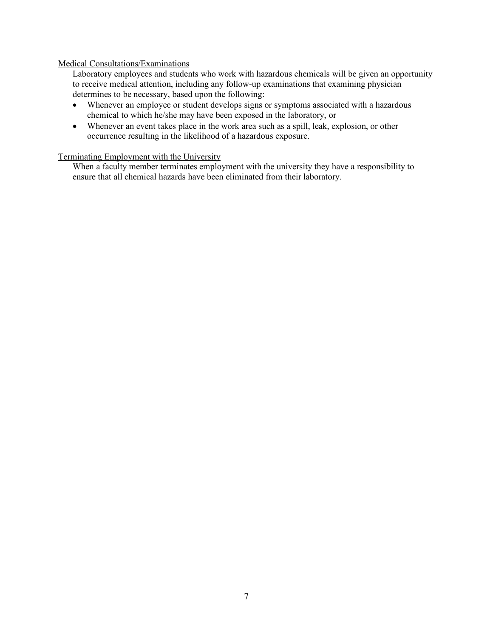### Medical Consultations/Examinations

Laboratory employees and students who work with hazardous chemicals will be given an opportunity to receive medical attention, including any follow-up examinations that examining physician determines to be necessary, based upon the following:

- Whenever an employee or student develops signs or symptoms associated with a hazardous chemical to which he/she may have been exposed in the laboratory, or
- Whenever an event takes place in the work area such as a spill, leak, explosion, or other occurrence resulting in the likelihood of a hazardous exposure.

### Terminating Employment with the University

When a faculty member terminates employment with the university they have a responsibility to ensure that all chemical hazards have been eliminated from their laboratory.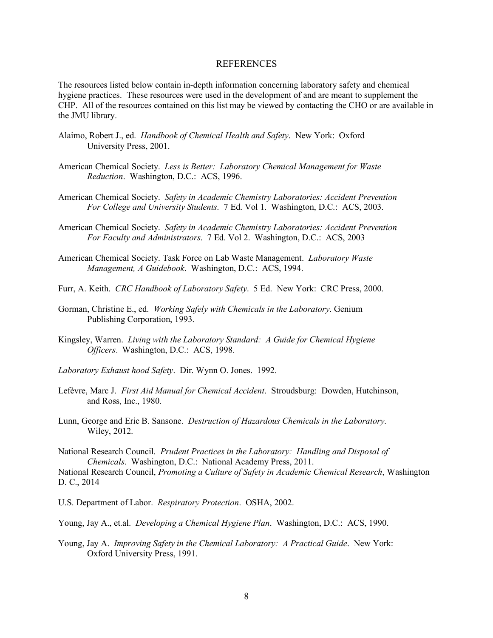#### REFERENCES

The resources listed below contain in-depth information concerning laboratory safety and chemical hygiene practices. These resources were used in the development of and are meant to supplement the CHP. All of the resources contained on this list may be viewed by contacting the CHO or are available in the JMU library.

- Alaimo, Robert J., ed. *Handbook of Chemical Health and Safety*. New York: Oxford University Press, 2001.
- American Chemical Society. *Less is Better: Laboratory Chemical Management for Waste Reduction*. Washington, D.C.: ACS, 1996.
- American Chemical Society. *Safety in Academic Chemistry Laboratories: Accident Prevention For College and University Students*. 7 Ed. Vol 1. Washington, D.C.: ACS, 2003.
- American Chemical Society. *Safety in Academic Chemistry Laboratories: Accident Prevention For Faculty and Administrators*. 7 Ed. Vol 2. Washington, D.C.: ACS, 2003
- American Chemical Society. Task Force on Lab Waste Management. *Laboratory Waste Management, A Guidebook*. Washington, D.C.: ACS, 1994.
- Furr, A. Keith. *CRC Handbook of Laboratory Safety*. 5 Ed. New York: CRC Press, 2000.
- Gorman, Christine E., ed. *Working Safely with Chemicals in the Laboratory*. Genium Publishing Corporation, 1993.
- Kingsley, Warren. *Living with the Laboratory Standard: A Guide for Chemical Hygiene Officers*. Washington, D.C.: ACS, 1998.
- *Laboratory Exhaust hood Safety*. Dir. Wynn O. Jones. 1992.
- Lefèvre, Marc J. *First Aid Manual for Chemical Accident*. Stroudsburg: Dowden, Hutchinson, and Ross, Inc., 1980.
- Lunn, George and Eric B. Sansone. *Destruction of Hazardous Chemicals in the Laboratory*. Wiley, 2012.

National Research Council. *Prudent Practices in the Laboratory: Handling and Disposal of Chemicals*. Washington, D.C.: National Academy Press, 2011. National Research Council, *Promoting a Culture of Safety in Academic Chemical Research*, Washington

U.S. Department of Labor. *Respiratory Protection*. OSHA, 2002.

D. C., 2014

- Young, Jay A., et.al. *Developing a Chemical Hygiene Plan*. Washington, D.C.: ACS, 1990.
- Young, Jay A. *Improving Safety in the Chemical Laboratory: A Practical Guide*. New York: Oxford University Press, 1991.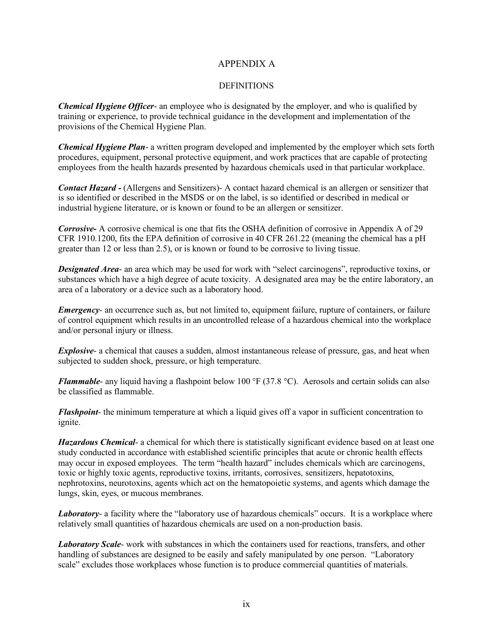## APPENDIX A

### **DEFINITIONS**

*Chemical Hygiene Officer*- an employee who is designated by the employer, and who is qualified by training or experience, to provide technical guidance in the development and implementation of the provisions of the Chemical Hygiene Plan.

*Chemical Hygiene Plan*- a written program developed and implemented by the employer which sets forth procedures, equipment, personal protective equipment, and work practices that are capable of protecting employees from the health hazards presented by hazardous chemicals used in that particular workplace.

*Contact Hazard -* (Allergens and Sensitizers)- A contact hazard chemical is an allergen or sensitizer that is so identified or described in the MSDS or on the label, is so identified or described in medical or industrial hygiene literature, or is known or found to be an allergen or sensitizer.

*Corrosive-* A corrosive chemical is one that fits the OSHA definition of corrosive in Appendix A of 29 CFR 1910.1200, fits the EPA definition of corrosive in 40 CFR 261.22 (meaning the chemical has a pH greater than 12 or less than 2.5), or is known or found to be corrosive to living tissue.

*Designated Area*- an area which may be used for work with "select carcinogens", reproductive toxins, or substances which have a high degree of acute toxicity. A designated area may be the entire laboratory, an area of a laboratory or a device such as a laboratory hood.

*Emergency*- an occurrence such as, but not limited to, equipment failure, rupture of containers, or failure of control equipment which results in an uncontrolled release of a hazardous chemical into the workplace and/or personal injury or illness.

*Explosive*- a chemical that causes a sudden, almost instantaneous release of pressure, gas, and heat when subjected to sudden shock, pressure, or high temperature.

*Flammable*- any liquid having a flashpoint below 100 °F (37.8 °C). Aerosols and certain solids can also be classified as flammable.

*Flashpoint*- the minimum temperature at which a liquid gives off a vapor in sufficient concentration to ignite.

*Hazardous Chemical*- a chemical for which there is statistically significant evidence based on at least one study conducted in accordance with established scientific principles that acute or chronic health effects may occur in exposed employees. The term "health hazard" includes chemicals which are carcinogens, toxic or highly toxic agents, reproductive toxins, irritants, corrosives, sensitizers, hepatotoxins, nephrotoxins, neurotoxins, agents which act on the hematopoietic systems, and agents which damage the lungs, skin, eyes, or mucous membranes.

*Laboratory*- a facility where the "laboratory use of hazardous chemicals" occurs. It is a workplace where relatively small quantities of hazardous chemicals are used on a non-production basis.

*Laboratory Scale*- work with substances in which the containers used for reactions, transfers, and other handling of substances are designed to be easily and safely manipulated by one person. "Laboratory scale" excludes those workplaces whose function is to produce commercial quantities of materials.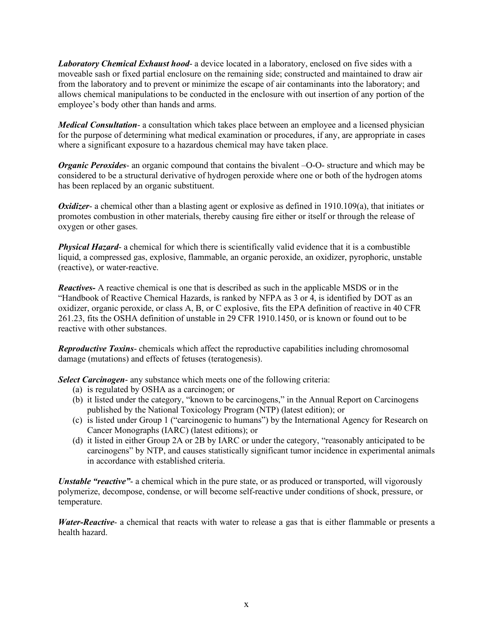*Laboratory Chemical Exhaust hood*- a device located in a laboratory, enclosed on five sides with a moveable sash or fixed partial enclosure on the remaining side; constructed and maintained to draw air from the laboratory and to prevent or minimize the escape of air contaminants into the laboratory; and allows chemical manipulations to be conducted in the enclosure with out insertion of any portion of the employee's body other than hands and arms.

*Medical Consultation*- a consultation which takes place between an employee and a licensed physician for the purpose of determining what medical examination or procedures, if any, are appropriate in cases where a significant exposure to a hazardous chemical may have taken place.

*Organic Peroxides-* an organic compound that contains the bivalent –O-O- structure and which may be considered to be a structural derivative of hydrogen peroxide where one or both of the hydrogen atoms has been replaced by an organic substituent.

*Oxidizer*- a chemical other than a blasting agent or explosive as defined in 1910.109(a), that initiates or promotes combustion in other materials, thereby causing fire either or itself or through the release of oxygen or other gases.

*Physical Hazard*- a chemical for which there is scientifically valid evidence that it is a combustible liquid, a compressed gas, explosive, flammable, an organic peroxide, an oxidizer, pyrophoric, unstable (reactive), or water-reactive.

*Reactives-* A reactive chemical is one that is described as such in the applicable MSDS or in the "Handbook of Reactive Chemical Hazards, is ranked by NFPA as 3 or 4, is identified by DOT as an oxidizer, organic peroxide, or class A, B, or C explosive, fits the EPA definition of reactive in 40 CFR 261.23, fits the OSHA definition of unstable in 29 CFR 1910.1450, or is known or found out to be reactive with other substances.

*Reproductive Toxins*- chemicals which affect the reproductive capabilities including chromosomal damage (mutations) and effects of fetuses (teratogenesis).

*Select Carcinogen*- any substance which meets one of the following criteria:

- (a) is regulated by OSHA as a carcinogen; or
- (b) it listed under the category, "known to be carcinogens," in the Annual Report on Carcinogens published by the National Toxicology Program (NTP) (latest edition); or
- (c) is listed under Group 1 ("carcinogenic to humans") by the International Agency for Research on Cancer Monographs (IARC) (latest editions); or
- (d) it listed in either Group 2A or 2B by IARC or under the category, "reasonably anticipated to be carcinogens" by NTP, and causes statistically significant tumor incidence in experimental animals in accordance with established criteria.

*Unstable "reactive"*- a chemical which in the pure state, or as produced or transported, will vigorously polymerize, decompose, condense, or will become self-reactive under conditions of shock, pressure, or temperature.

*Water-Reactive-* a chemical that reacts with water to release a gas that is either flammable or presents a health hazard.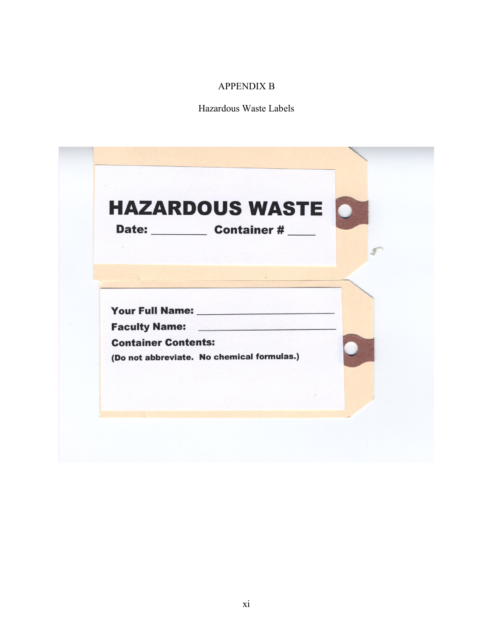# APPENDIX B

Hazardous Waste Labels

|                            | <b>HAZARDOUS WASTE</b><br>Date: Container # |  |
|----------------------------|---------------------------------------------|--|
|                            |                                             |  |
|                            |                                             |  |
|                            |                                             |  |
| <b>Container Contents:</b> |                                             |  |
|                            | (Do not abbreviate. No chemical formulas.)  |  |
|                            |                                             |  |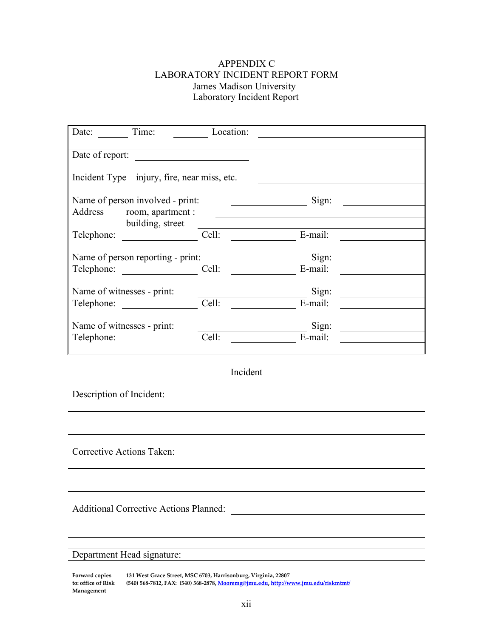# APPENDIX C LABORATORY INCIDENT REPORT FORM James Madison University Laboratory Incident Report

| Time:<br>Date:                                | Location:                        |                                                                                                                                   |  |
|-----------------------------------------------|----------------------------------|-----------------------------------------------------------------------------------------------------------------------------------|--|
|                                               |                                  |                                                                                                                                   |  |
| Date of report:                               |                                  |                                                                                                                                   |  |
| Incident Type – injury, fire, near miss, etc. |                                  |                                                                                                                                   |  |
| Name of person involved - print:              | <u> 1990 - Johann Barbara, p</u> | Sign:                                                                                                                             |  |
| Address room, apartment :                     |                                  |                                                                                                                                   |  |
| building, street<br>Telephone:                | Cell:                            | E-mail:                                                                                                                           |  |
| Name of person reporting - print:             |                                  | Sign:                                                                                                                             |  |
| Telephone:                                    | Cell:                            | E-mail:                                                                                                                           |  |
| Name of witnesses - print:                    |                                  | Sign:                                                                                                                             |  |
| Telephone:                                    | Cell:                            | <u> a shekara ta 1999 a shekara ta 1991 a shekara ta 1991 a shekara ta 1991 a shekara ta 1991 a shekara ta 1991 a </u><br>E-mail: |  |
| Name of witnesses - print:                    |                                  | Sign:<br>$\sim$ 100 $\mu$                                                                                                         |  |
| Telephone:                                    | Cell:                            | E-mail:                                                                                                                           |  |
|                                               |                                  |                                                                                                                                   |  |
|                                               | Incident                         |                                                                                                                                   |  |
| Description of Incident:                      |                                  |                                                                                                                                   |  |

Corrective Actions Taken:

Additional Corrective Actions Planned:

## Department Head signature:

**Forward copies to: office of Risk Management 131 West Grace Street, MSC 6703, Harrisonburg, Virginia, 22807 (540) 568-7812, FAX: (540) 568-2878, Mooremg@jmu.edu, http://www.jmu.edu/riskmtmt/**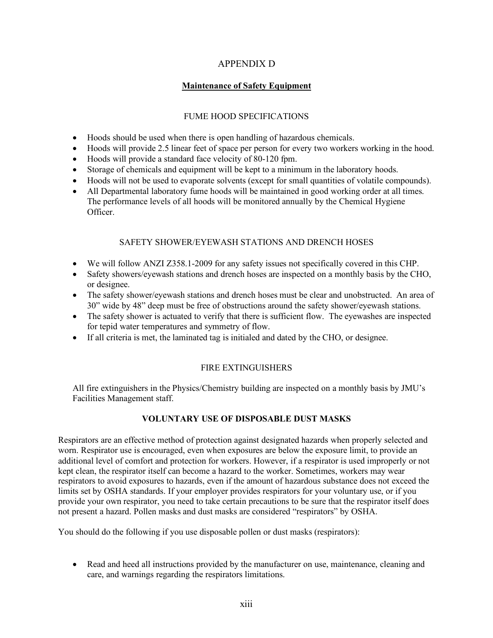# APPENDIX D

# **Maintenance of Safety Equipment**

## FUME HOOD SPECIFICATIONS

- Hoods should be used when there is open handling of hazardous chemicals.
- Hoods will provide 2.5 linear feet of space per person for every two workers working in the hood.
- Hoods will provide a standard face velocity of 80-120 fpm.
- Storage of chemicals and equipment will be kept to a minimum in the laboratory hoods.
- Hoods will not be used to evaporate solvents (except for small quantities of volatile compounds).
- All Departmental laboratory fume hoods will be maintained in good working order at all times. The performance levels of all hoods will be monitored annually by the Chemical Hygiene Officer.

# SAFETY SHOWER/EYEWASH STATIONS AND DRENCH HOSES

- We will follow ANZI Z358.1-2009 for any safety issues not specifically covered in this CHP.
- Safety showers/eyewash stations and drench hoses are inspected on a monthly basis by the CHO, or designee.
- The safety shower/eyewash stations and drench hoses must be clear and unobstructed. An area of 30" wide by 48" deep must be free of obstructions around the safety shower/eyewash stations.
- The safety shower is actuated to verify that there is sufficient flow. The eyewashes are inspected for tepid water temperatures and symmetry of flow.
- If all criteria is met, the laminated tag is initialed and dated by the CHO, or designee.

# FIRE EXTINGUISHERS

All fire extinguishers in the Physics/Chemistry building are inspected on a monthly basis by JMU's Facilities Management staff.

# **VOLUNTARY USE OF DISPOSABLE DUST MASKS**

Respirators are an effective method of protection against designated hazards when properly selected and worn. Respirator use is encouraged, even when exposures are below the exposure limit, to provide an additional level of comfort and protection for workers. However, if a respirator is used improperly or not kept clean, the respirator itself can become a hazard to the worker. Sometimes, workers may wear respirators to avoid exposures to hazards, even if the amount of hazardous substance does not exceed the limits set by OSHA standards. If your employer provides respirators for your voluntary use, or if you provide your own respirator, you need to take certain precautions to be sure that the respirator itself does not present a hazard. Pollen masks and dust masks are considered "respirators" by OSHA.

You should do the following if you use disposable pollen or dust masks (respirators):

• Read and heed all instructions provided by the manufacturer on use, maintenance, cleaning and care, and warnings regarding the respirators limitations.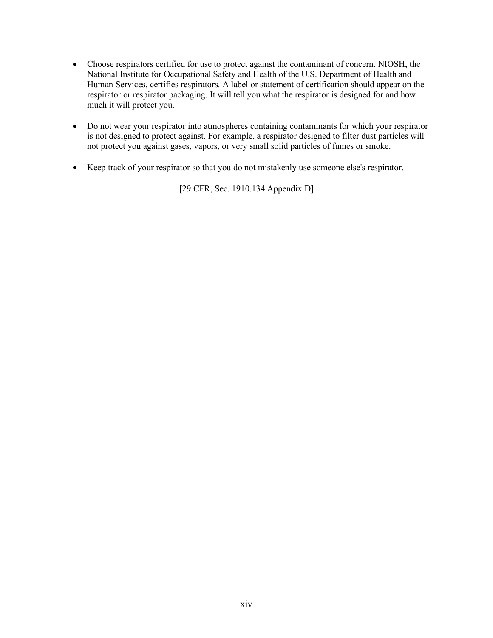- Choose respirators certified for use to protect against the contaminant of concern. NIOSH, the National Institute for Occupational Safety and Health of the U.S. Department of Health and Human Services, certifies respirators. A label or statement of certification should appear on the respirator or respirator packaging. It will tell you what the respirator is designed for and how much it will protect you.
- Do not wear your respirator into atmospheres containing contaminants for which your respirator is not designed to protect against. For example, a respirator designed to filter dust particles will not protect you against gases, vapors, or very small solid particles of fumes or smoke.
- Keep track of your respirator so that you do not mistakenly use someone else's respirator.

[29 CFR, Sec. 1910.134 Appendix D]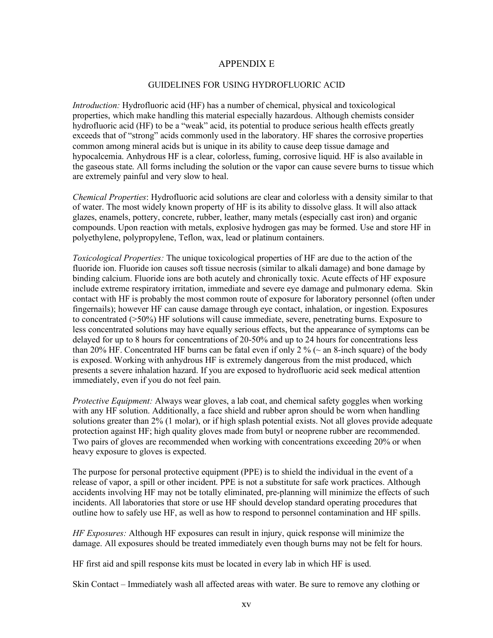## APPENDIX E

### GUIDELINES FOR USING HYDROFLUORIC ACID

*Introduction:* Hydrofluoric acid (HF) has a number of chemical, physical and toxicological properties, which make handling this material especially hazardous. Although chemists consider hydrofluoric acid (HF) to be a "weak" acid, its potential to produce serious health effects greatly exceeds that of "strong" acids commonly used in the laboratory. HF shares the corrosive properties common among mineral acids but is unique in its ability to cause deep tissue damage and hypocalcemia. Anhydrous HF is a clear, colorless, fuming, corrosive liquid. HF is also available in the gaseous state. All forms including the solution or the vapor can cause severe burns to tissue which are extremely painful and very slow to heal.

*Chemical Properties*: Hydrofluoric acid solutions are clear and colorless with a density similar to that of water. The most widely known property of HF is its ability to dissolve glass. It will also attack glazes, enamels, pottery, concrete, rubber, leather, many metals (especially cast iron) and organic compounds. Upon reaction with metals, explosive hydrogen gas may be formed. Use and store HF in polyethylene, polypropylene, Teflon, wax, lead or platinum containers.

*Toxicological Properties:* The unique toxicological properties of HF are due to the action of the fluoride ion. Fluoride ion causes soft tissue necrosis (similar to alkali damage) and bone damage by binding calcium. Fluoride ions are both acutely and chronically toxic. Acute effects of HF exposure include extreme respiratory irritation, immediate and severe eye damage and pulmonary edema. Skin contact with HF is probably the most common route of exposure for laboratory personnel (often under fingernails); however HF can cause damage through eye contact, inhalation, or ingestion. Exposures to concentrated (>50%) HF solutions will cause immediate, severe, penetrating burns. Exposure to less concentrated solutions may have equally serious effects, but the appearance of symptoms can be delayed for up to 8 hours for concentrations of 20-50% and up to 24 hours for concentrations less than 20% HF. Concentrated HF burns can be fatal even if only 2 % ( $\sim$  an 8-inch square) of the body is exposed. Working with anhydrous HF is extremely dangerous from the mist produced, which presents a severe inhalation hazard. If you are exposed to hydrofluoric acid seek medical attention immediately, even if you do not feel pain.

*Protective Equipment:* Always wear gloves, a lab coat, and chemical safety goggles when working with any HF solution. Additionally, a face shield and rubber apron should be worn when handling solutions greater than 2% (1 molar), or if high splash potential exists. Not all gloves provide adequate protection against HF; high quality gloves made from butyl or neoprene rubber are recommended. Two pairs of gloves are recommended when working with concentrations exceeding 20% or when heavy exposure to gloves is expected.

The purpose for personal protective equipment (PPE) is to shield the individual in the event of a release of vapor, a spill or other incident. PPE is not a substitute for safe work practices. Although accidents involving HF may not be totally eliminated, pre-planning will minimize the effects of such incidents. All laboratories that store or use HF should develop standard operating procedures that outline how to safely use HF, as well as how to respond to personnel contamination and HF spills.

*HF Exposures:* Although HF exposures can result in injury, quick response will minimize the damage. All exposures should be treated immediately even though burns may not be felt for hours.

HF first aid and spill response kits must be located in every lab in which HF is used.

Skin Contact – Immediately wash all affected areas with water. Be sure to remove any clothing or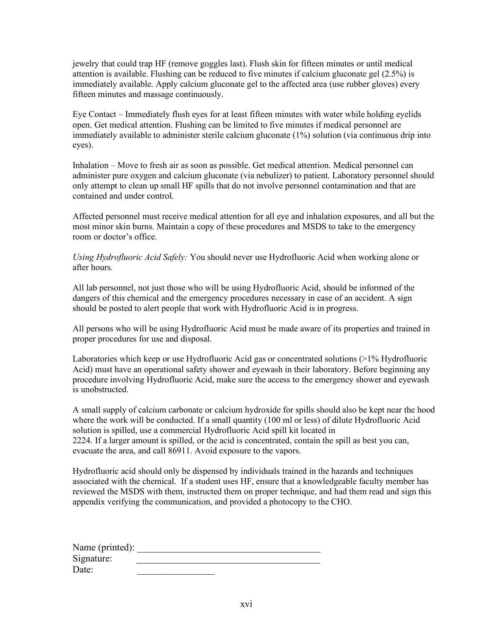jewelry that could trap HF (remove goggles last). Flush skin for fifteen minutes or until medical attention is available. Flushing can be reduced to five minutes if calcium gluconate gel (2.5%) is immediately available. Apply calcium gluconate gel to the affected area (use rubber gloves) every fifteen minutes and massage continuously.

Eye Contact – Immediately flush eyes for at least fifteen minutes with water while holding eyelids open. Get medical attention. Flushing can be limited to five minutes if medical personnel are immediately available to administer sterile calcium gluconate (1%) solution (via continuous drip into eyes).

Inhalation – Move to fresh air as soon as possible. Get medical attention. Medical personnel can administer pure oxygen and calcium gluconate (via nebulizer) to patient. Laboratory personnel should only attempt to clean up small HF spills that do not involve personnel contamination and that are contained and under control.

Affected personnel must receive medical attention for all eye and inhalation exposures, and all but the most minor skin burns. Maintain a copy of these procedures and MSDS to take to the emergency room or doctor's office.

*Using Hydrofluoric Acid Safely:* You should never use Hydrofluoric Acid when working alone or after hours.

All lab personnel, not just those who will be using Hydrofluoric Acid, should be informed of the dangers of this chemical and the emergency procedures necessary in case of an accident. A sign should be posted to alert people that work with Hydrofluoric Acid is in progress.

All persons who will be using Hydrofluoric Acid must be made aware of its properties and trained in proper procedures for use and disposal.

Laboratories which keep or use Hydrofluoric Acid gas or concentrated solutions (>1% Hydrofluoric Acid) must have an operational safety shower and eyewash in their laboratory. Before beginning any procedure involving Hydrofluoric Acid, make sure the access to the emergency shower and eyewash is unobstructed.

A small supply of calcium carbonate or calcium hydroxide for spills should also be kept near the hood where the work will be conducted. If a small quantity (100 ml or less) of dilute Hydrofluoric Acid solution is spilled, use a commercial Hydrofluoric Acid spill kit located in 2224. If a larger amount is spilled, or the acid is concentrated, contain the spill as best you can, evacuate the area, and call 86911. Avoid exposure to the vapors.

Hydrofluoric acid should only be dispensed by individuals trained in the hazards and techniques associated with the chemical. If a student uses HF, ensure that a knowledgeable faculty member has reviewed the MSDS with them, instructed them on proper technique, and had them read and sign this appendix verifying the communication, and provided a photocopy to the CHO.

| Name (printed): |  |
|-----------------|--|
| Signature:      |  |
| Date:           |  |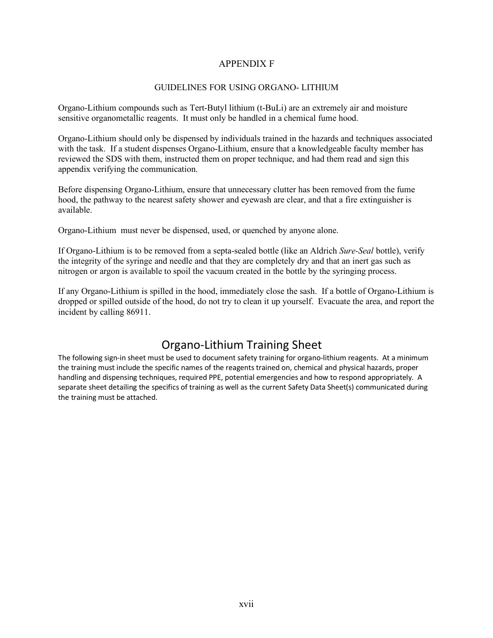## APPENDIX F

### GUIDELINES FOR USING ORGANO- LITHIUM

Organo-Lithium compounds such as Tert-Butyl lithium (t-BuLi) are an extremely air and moisture sensitive organometallic reagents. It must only be handled in a chemical fume hood.

Organo-Lithium should only be dispensed by individuals trained in the hazards and techniques associated with the task. If a student dispenses Organo-Lithium, ensure that a knowledgeable faculty member has reviewed the SDS with them, instructed them on proper technique, and had them read and sign this appendix verifying the communication.

Before dispensing Organo-Lithium, ensure that unnecessary clutter has been removed from the fume hood, the pathway to the nearest safety shower and eyewash are clear, and that a fire extinguisher is available.

Organo-Lithium must never be dispensed, used, or quenched by anyone alone.

If Organo-Lithium is to be removed from a septa-sealed bottle (like an Aldrich *Sure-Seal* bottle), verify the integrity of the syringe and needle and that they are completely dry and that an inert gas such as nitrogen or argon is available to spoil the vacuum created in the bottle by the syringing process.

If any Organo-Lithium is spilled in the hood, immediately close the sash. If a bottle of Organo-Lithium is dropped or spilled outside of the hood, do not try to clean it up yourself. Evacuate the area, and report the incident by calling 86911.

# Organo-Lithium Training Sheet

The following sign-in sheet must be used to document safety training for organo-lithium reagents. At a minimum the training must include the specific names of the reagents trained on, chemical and physical hazards, proper handling and dispensing techniques, required PPE, potential emergencies and how to respond appropriately. A separate sheet detailing the specifics of training as well as the current Safety Data Sheet(s) communicated during the training must be attached.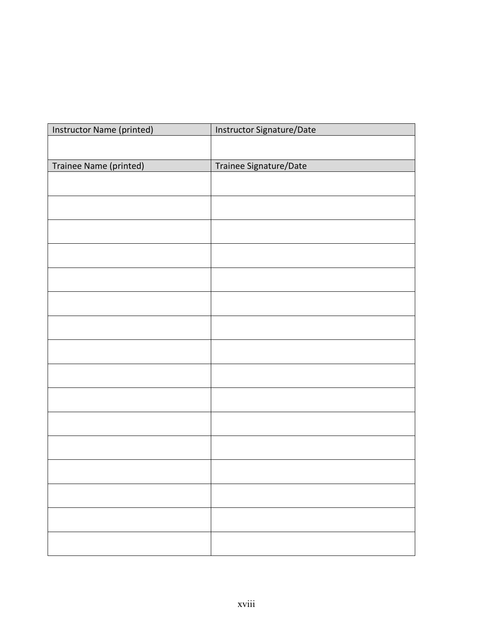| Instructor Name (printed) | Instructor Signature/Date |  |  |
|---------------------------|---------------------------|--|--|
|                           |                           |  |  |
|                           |                           |  |  |
| Trainee Name (printed)    | Trainee Signature/Date    |  |  |
|                           |                           |  |  |
|                           |                           |  |  |
|                           |                           |  |  |
|                           |                           |  |  |
|                           |                           |  |  |
|                           |                           |  |  |
|                           |                           |  |  |
|                           |                           |  |  |
|                           |                           |  |  |
|                           |                           |  |  |
|                           |                           |  |  |
|                           |                           |  |  |
|                           |                           |  |  |
|                           |                           |  |  |
|                           |                           |  |  |
|                           |                           |  |  |
|                           |                           |  |  |
|                           |                           |  |  |
|                           |                           |  |  |
|                           |                           |  |  |
|                           |                           |  |  |
|                           |                           |  |  |
|                           |                           |  |  |
|                           |                           |  |  |
|                           |                           |  |  |
|                           |                           |  |  |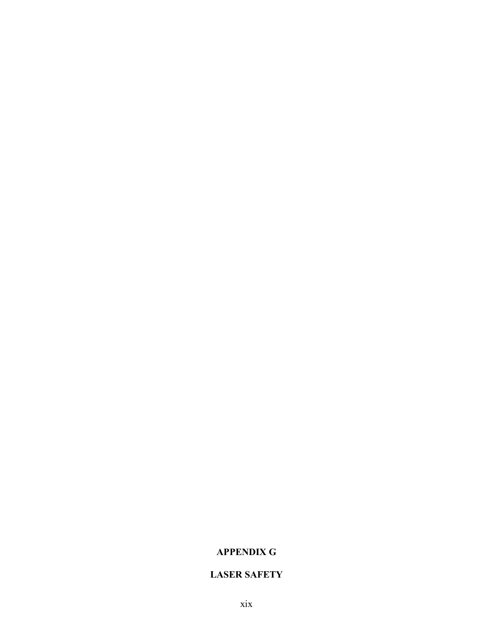# **APPENDIX G**

# **LASER SAFETY**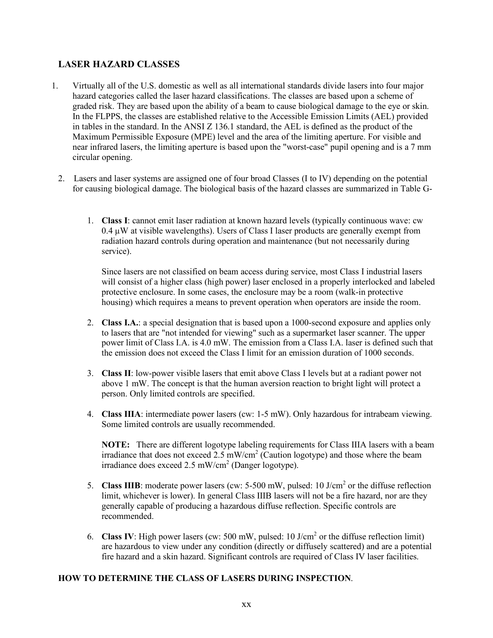# **LASER HAZARD CLASSES**

- 1. Virtually all of the U.S. domestic as well as all international standards divide lasers into four major hazard categories called the laser hazard classifications. The classes are based upon a scheme of graded risk. They are based upon the ability of a beam to cause biological damage to the eye or skin. In the FLPPS, the classes are established relative to the Accessible Emission Limits (AEL) provided in tables in the standard. In the ANSI Z 136.1 standard, the AEL is defined as the product of the Maximum Permissible Exposure (MPE) level and the area of the limiting aperture. For visible and near infrared lasers, the limiting aperture is based upon the "worst-case" pupil opening and is a 7 mm circular opening.
	- 2. Lasers and laser systems are assigned one of four broad Classes (I to IV) depending on the potential for causing biological damage. The biological basis of the hazard classes are summarized in Table G-
		- 1. **Class I**: cannot emit laser radiation at known hazard levels (typically continuous wave: cw  $0.4 \mu$ W at visible wavelengths). Users of Class I laser products are generally exempt from radiation hazard controls during operation and maintenance (but not necessarily during service).

Since lasers are not classified on beam access during service, most Class I industrial lasers will consist of a higher class (high power) laser enclosed in a properly interlocked and labeled protective enclosure. In some cases, the enclosure may be a room (walk-in protective housing) which requires a means to prevent operation when operators are inside the room.

- 2. **Class I.A.**: a special designation that is based upon a 1000-second exposure and applies only to lasers that are "not intended for viewing" such as a supermarket laser scanner. The upper power limit of Class I.A. is 4.0 mW. The emission from a Class I.A. laser is defined such that the emission does not exceed the Class I limit for an emission duration of 1000 seconds.
- 3. **Class II**: low-power visible lasers that emit above Class I levels but at a radiant power not above 1 mW. The concept is that the human aversion reaction to bright light will protect a person. Only limited controls are specified.
- 4. **Class IIIA**: intermediate power lasers (cw: 1-5 mW). Only hazardous for intrabeam viewing. Some limited controls are usually recommended.

**NOTE:** There are different logotype labeling requirements for Class IIIA lasers with a beam irradiance that does not exceed  $2.5 \text{ mW/cm}^2$  (Caution logotype) and those where the beam irradiance does exceed  $2.5 \text{ mW/cm}^2$  (Danger logotype).

- 5. **Class IIIB**: moderate power lasers (cw: 5-500 mW, pulsed: 10 J/cm<sup>2</sup> or the diffuse reflection limit, whichever is lower). In general Class IIIB lasers will not be a fire hazard, nor are they generally capable of producing a hazardous diffuse reflection. Specific controls are recommended.
- 6. **Class IV**: High power lasers (cw: 500 mW, pulsed: 10 J/cm<sup>2</sup> or the diffuse reflection limit) are hazardous to view under any condition (directly or diffusely scattered) and are a potential fire hazard and a skin hazard. Significant controls are required of Class IV laser facilities.

## **HOW TO DETERMINE THE CLASS OF LASERS DURING INSPECTION**.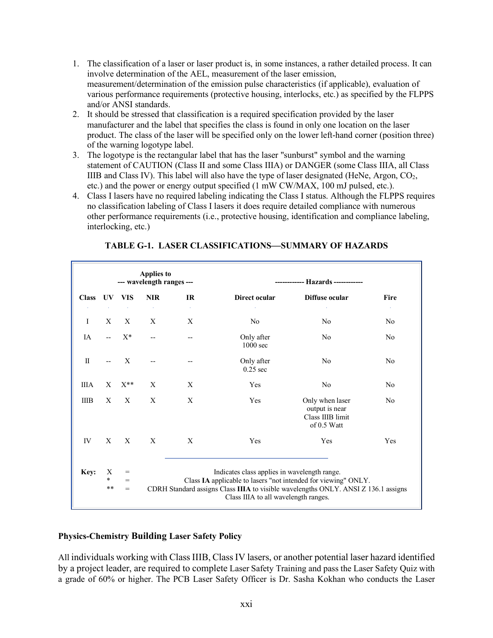- 1. The classification of a laser or laser product is, in some instances, a rather detailed process. It can involve determination of the AEL, measurement of the laser emission, measurement/determination of the emission pulse characteristics (if applicable), evaluation of various performance requirements (protective housing, interlocks, etc.) as specified by the FLPPS and/or ANSI standards.
- 2. It should be stressed that classification is a required specification provided by the laser manufacturer and the label that specifies the class is found in only one location on the laser product. The class of the laser will be specified only on the lower left-hand corner (position three) of the warning logotype label.
- 3. The logotype is the rectangular label that has the laser "sunburst" symbol and the warning statement of CAUTION (Class II and some Class IIIA) or DANGER (some Class IIIA, all Class IIIB and Class IV). This label will also have the type of laser designated (HeNe, Argon,  $CO<sub>2</sub>$ , etc.) and the power or energy output specified (1 mW CW/MAX, 100 mJ pulsed, etc.).
- 4. Class I lasers have no required labeling indicating the Class I status. Although the FLPPS requires no classification labeling of Class I lasers it does require detailed compliance with numerous other performance requirements (i.e., protective housing, identification and compliance labeling, interlocking, etc.)

**TABLE G-1. LASER CLASSIFICATIONS—SUMMARY OF HAZARDS**

| <b>Applies to</b><br>--- wavelength ranges ---<br>Hazards ------------ |                      |                   |            |                                                                                                                                                                                                                                              |                          |                                                                      |                                |
|------------------------------------------------------------------------|----------------------|-------------------|------------|----------------------------------------------------------------------------------------------------------------------------------------------------------------------------------------------------------------------------------------------|--------------------------|----------------------------------------------------------------------|--------------------------------|
| <b>Class</b>                                                           | UV.                  | <b>VIS</b>        | <b>NIR</b> | IR                                                                                                                                                                                                                                           | Direct ocular            | Diffuse ocular                                                       | <b>Fire</b>                    |
| I                                                                      | X                    | X                 | X          | X                                                                                                                                                                                                                                            | N <sub>0</sub>           | No                                                                   | $\Delta\tau$<br>N <sub>0</sub> |
| <b>IA</b>                                                              |                      | $X^*$             |            | --                                                                                                                                                                                                                                           | Only after<br>$1000$ sec | No                                                                   | N <sub>0</sub>                 |
| $\mathbf{I}$                                                           | $-$                  | $\mathbf{X}$      |            |                                                                                                                                                                                                                                              | Only after<br>$0.25$ sec | No                                                                   | No                             |
| <b>IIIA</b>                                                            | X                    | $X^{**}$          | X          | X                                                                                                                                                                                                                                            | Yes                      | No                                                                   | N <sub>0</sub>                 |
| <b>IIIB</b>                                                            | X                    | X                 | X          | X                                                                                                                                                                                                                                            | Yes                      | Only when laser<br>output is near<br>Class IIIB limit<br>of 0.5 Watt | N <sub>0</sub>                 |
| IV                                                                     | $\mathbf{X}$         | X                 | X          | X                                                                                                                                                                                                                                            | Yes                      | Yes                                                                  | Yes                            |
| Key:                                                                   | X<br>$\ast$<br>$* *$ | $=$<br>$=$<br>$=$ |            | Indicates class applies in wavelength range.<br>Class IA applicable to lasers "not intended for viewing" ONLY.<br>CDRH Standard assigns Class IIIA to visible wavelengths ONLY. ANSI Z 136.1 assigns<br>Class IIIA to all wavelength ranges. |                          |                                                                      |                                |

# **Physics-Chemistry Building Laser Safety Policy**

All individuals working with Class IIIB, Class IV lasers, or another potential laser hazard identified by a project leader, are required to complete Laser Safety Training and pass the Laser Safety Quiz with a grade of 60% or higher. The PCB Laser Safety Officer is Dr. Sasha Kokhan who conducts the Laser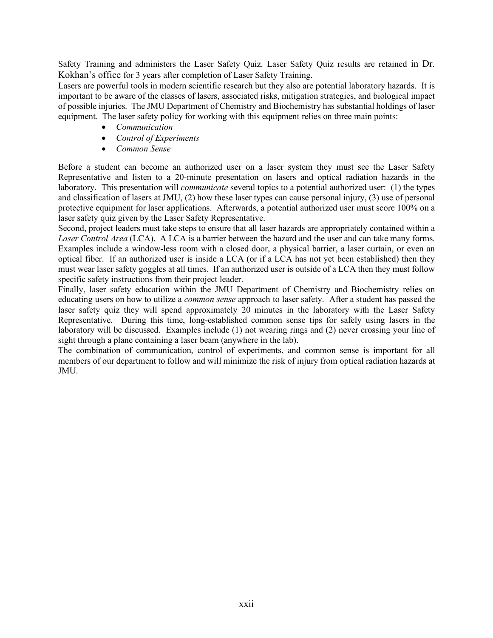Safety Training and administers the Laser Safety Quiz. Laser Safety Quiz results are retained in Dr. Kokhan's office for 3 years after completion of Laser Safety Training.

Lasers are powerful tools in modern scientific research but they also are potential laboratory hazards. It is important to be aware of the classes of lasers, associated risks, mitigation strategies, and biological impact of possible injuries. The JMU Department of Chemistry and Biochemistry has substantial holdings of laser equipment. The laser safety policy for working with this equipment relies on three main points:

- *Communication*
- *Control of Experiments*
- *Common Sense*

Before a student can become an authorized user on a laser system they must see the Laser Safety Representative and listen to a 20-minute presentation on lasers and optical radiation hazards in the laboratory. This presentation will *communicate* several topics to a potential authorized user: (1) the types and classification of lasers at JMU, (2) how these laser types can cause personal injury, (3) use of personal protective equipment for laser applications. Afterwards, a potential authorized user must score 100% on a laser safety quiz given by the Laser Safety Representative.

Second, project leaders must take steps to ensure that all laser hazards are appropriately contained within a *Laser Control Area* (LCA). A LCA is a barrier between the hazard and the user and can take many forms. Examples include a window-less room with a closed door, a physical barrier, a laser curtain, or even an optical fiber. If an authorized user is inside a LCA (or if a LCA has not yet been established) then they must wear laser safety goggles at all times. If an authorized user is outside of a LCA then they must follow specific safety instructions from their project leader.

Finally, laser safety education within the JMU Department of Chemistry and Biochemistry relies on educating users on how to utilize a *common sense* approach to laser safety. After a student has passed the laser safety quiz they will spend approximately 20 minutes in the laboratory with the Laser Safety Representative. During this time, long-established common sense tips for safely using lasers in the laboratory will be discussed. Examples include (1) not wearing rings and (2) never crossing your line of sight through a plane containing a laser beam (anywhere in the lab).

The combination of communication, control of experiments, and common sense is important for all members of our department to follow and will minimize the risk of injury from optical radiation hazards at JMU.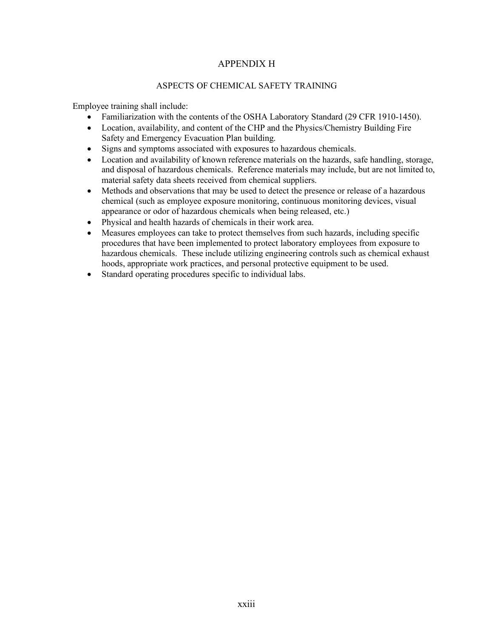# APPENDIX H

## ASPECTS OF CHEMICAL SAFETY TRAINING

Employee training shall include:

- Familiarization with the contents of the OSHA Laboratory Standard (29 CFR 1910-1450).
- Location, availability, and content of the CHP and the Physics/Chemistry Building Fire Safety and Emergency Evacuation Plan building.
- Signs and symptoms associated with exposures to hazardous chemicals.
- Location and availability of known reference materials on the hazards, safe handling, storage, and disposal of hazardous chemicals. Reference materials may include, but are not limited to, material safety data sheets received from chemical suppliers.
- Methods and observations that may be used to detect the presence or release of a hazardous chemical (such as employee exposure monitoring, continuous monitoring devices, visual appearance or odor of hazardous chemicals when being released, etc.)
- Physical and health hazards of chemicals in their work area.
- Measures employees can take to protect themselves from such hazards, including specific procedures that have been implemented to protect laboratory employees from exposure to hazardous chemicals. These include utilizing engineering controls such as chemical exhaust hoods, appropriate work practices, and personal protective equipment to be used.
- Standard operating procedures specific to individual labs.